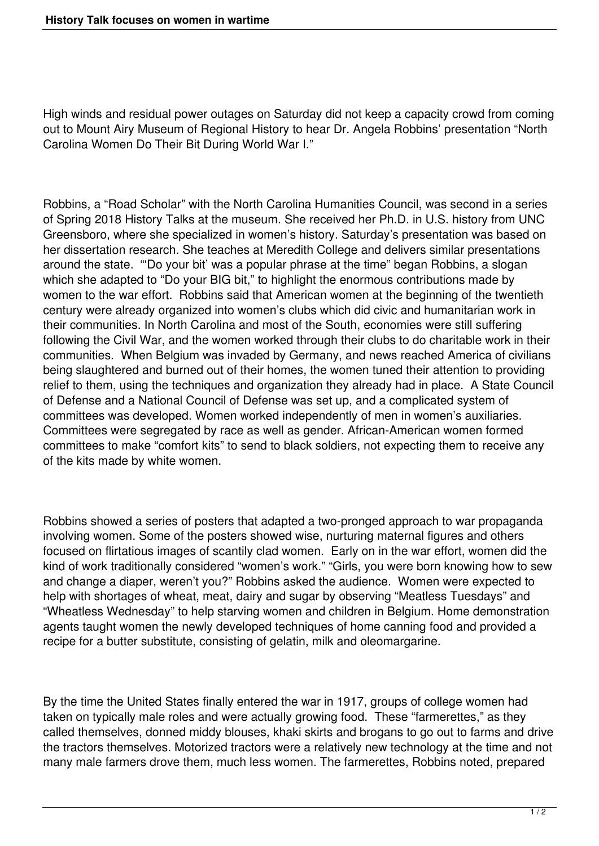High winds and residual power outages on Saturday did not keep a capacity crowd from coming out to Mount Airy Museum of Regional History to hear Dr. Angela Robbins' presentation "North Carolina Women Do Their Bit During World War I."

Robbins, a "Road Scholar" with the North Carolina Humanities Council, was second in a series of Spring 2018 History Talks at the museum. She received her Ph.D. in U.S. history from UNC Greensboro, where she specialized in women's history. Saturday's presentation was based on her dissertation research. She teaches at Meredith College and delivers similar presentations around the state. "'Do your bit' was a popular phrase at the time" began Robbins, a slogan which she adapted to "Do your BIG bit," to highlight the enormous contributions made by women to the war effort. Robbins said that American women at the beginning of the twentieth century were already organized into women's clubs which did civic and humanitarian work in their communities. In North Carolina and most of the South, economies were still suffering following the Civil War, and the women worked through their clubs to do charitable work in their communities. When Belgium was invaded by Germany, and news reached America of civilians being slaughtered and burned out of their homes, the women tuned their attention to providing relief to them, using the techniques and organization they already had in place. A State Council of Defense and a National Council of Defense was set up, and a complicated system of committees was developed. Women worked independently of men in women's auxiliaries. Committees were segregated by race as well as gender. African-American women formed committees to make "comfort kits" to send to black soldiers, not expecting them to receive any of the kits made by white women.

Robbins showed a series of posters that adapted a two-pronged approach to war propaganda involving women. Some of the posters showed wise, nurturing maternal figures and others focused on flirtatious images of scantily clad women. Early on in the war effort, women did the kind of work traditionally considered "women's work." "Girls, you were born knowing how to sew and change a diaper, weren't you?" Robbins asked the audience. Women were expected to help with shortages of wheat, meat, dairy and sugar by observing "Meatless Tuesdays" and "Wheatless Wednesday" to help starving women and children in Belgium. Home demonstration agents taught women the newly developed techniques of home canning food and provided a recipe for a butter substitute, consisting of gelatin, milk and oleomargarine.

By the time the United States finally entered the war in 1917, groups of college women had taken on typically male roles and were actually growing food. These "farmerettes," as they called themselves, donned middy blouses, khaki skirts and brogans to go out to farms and drive the tractors themselves. Motorized tractors were a relatively new technology at the time and not many male farmers drove them, much less women. The farmerettes, Robbins noted, prepared